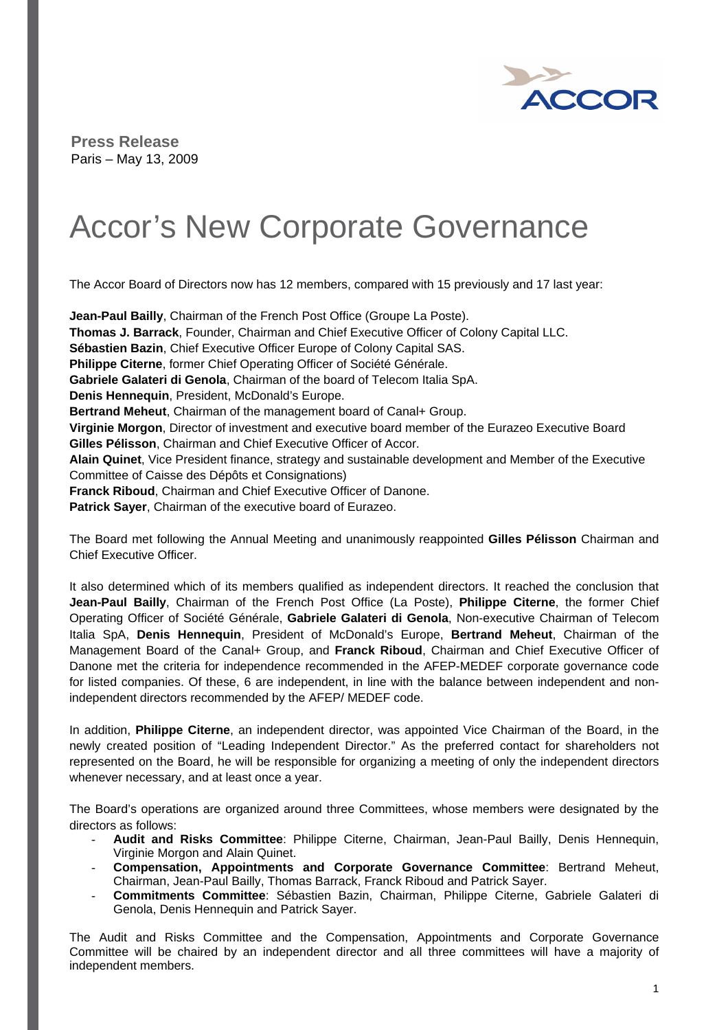

**Press Release**  Paris – May 13, 2009

## Accor's New Corporate Governance

The Accor Board of Directors now has 12 members, compared with 15 previously and 17 last year:

**Jean-Paul Bailly**, Chairman of the French Post Office (Groupe La Poste). **Thomas J. Barrack**, Founder, Chairman and Chief Executive Officer of Colony Capital LLC. **Sébastien Bazin**, Chief Executive Officer Europe of Colony Capital SAS. **Philippe Citerne**, former Chief Operating Officer of Société Générale. **Gabriele Galateri di Genola**, Chairman of the board of Telecom Italia SpA. **Denis Hennequin**, President, McDonald's Europe. **Bertrand Meheut**, Chairman of the management board of Canal+ Group. **Virginie Morgon**, Director of investment and executive board member of the Eurazeo Executive Board **Gilles Pélisson**, Chairman and Chief Executive Officer of Accor. **Alain Quinet**, Vice President finance, strategy and sustainable development and Member of the Executive Committee of Caisse des Dépôts et Consignations) **Franck Riboud**, Chairman and Chief Executive Officer of Danone. **Patrick Sayer**, Chairman of the executive board of Eurazeo.

The Board met following the Annual Meeting and unanimously reappointed **Gilles Pélisson** Chairman and Chief Executive Officer.

It also determined which of its members qualified as independent directors. It reached the conclusion that **Jean-Paul Bailly**, Chairman of the French Post Office (La Poste), **Philippe Citerne**, the former Chief Operating Officer of Société Générale, **Gabriele Galateri di Genola**, Non-executive Chairman of Telecom Italia SpA, **Denis Hennequin**, President of McDonald's Europe, **Bertrand Meheut**, Chairman of the Management Board of the Canal+ Group, and **Franck Riboud**, Chairman and Chief Executive Officer of Danone met the criteria for independence recommended in the AFEP-MEDEF corporate governance code for listed companies. Of these, 6 are independent, in line with the balance between independent and nonindependent directors recommended by the AFEP/ MEDEF code.

In addition, **Philippe Citerne**, an independent director, was appointed Vice Chairman of the Board, in the newly created position of "Leading Independent Director." As the preferred contact for shareholders not represented on the Board, he will be responsible for organizing a meeting of only the independent directors whenever necessary, and at least once a year.

The Board's operations are organized around three Committees, whose members were designated by the directors as follows:

- **Audit and Risks Committee**: Philippe Citerne, Chairman, Jean-Paul Bailly, Denis Hennequin, Virginie Morgon and Alain Quinet.
- **Compensation, Appointments and Corporate Governance Committee**: Bertrand Meheut, Chairman, Jean-Paul Bailly, Thomas Barrack, Franck Riboud and Patrick Sayer.
- **Commitments Committee**: Sébastien Bazin, Chairman, Philippe Citerne, Gabriele Galateri di Genola, Denis Hennequin and Patrick Sayer.

The Audit and Risks Committee and the Compensation, Appointments and Corporate Governance Committee will be chaired by an independent director and all three committees will have a majority of independent members.